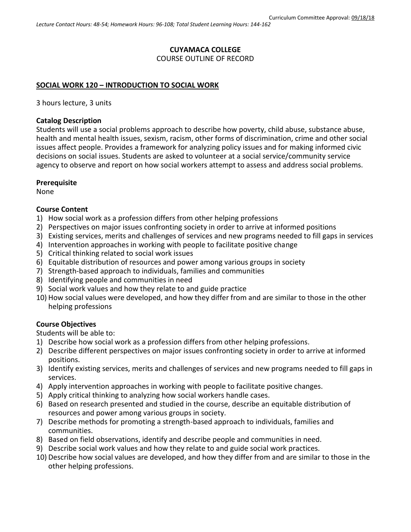# **CUYAMACA COLLEGE**

COURSE OUTLINE OF RECORD

### **SOCIAL WORK 120 – INTRODUCTION TO SOCIAL WORK**

3 hours lecture, 3 units

#### **Catalog Description**

Students will use a social problems approach to describe how poverty, child abuse, substance abuse, health and mental health issues, sexism, racism, other forms of discrimination, crime and other social issues affect people. Provides a framework for analyzing policy issues and for making informed civic decisions on social issues. Students are asked to volunteer at a social service/community service agency to observe and report on how social workers attempt to assess and address social problems.

### **Prerequisite**

None

### **Course Content**

- 1) How social work as a profession differs from other helping professions
- 2) Perspectives on major issues confronting society in order to arrive at informed positions
- 3) Existing services, merits and challenges of services and new programs needed to fill gaps in services
- 4) Intervention approaches in working with people to facilitate positive change
- 5) Critical thinking related to social work issues
- 6) Equitable distribution of resources and power among various groups in society
- 7) Strength-based approach to individuals, families and communities
- 8) Identifying people and communities in need
- 9) Social work values and how they relate to and guide practice
- 10) How social values were developed, and how they differ from and are similar to those in the other helping professions

## **Course Objectives**

Students will be able to:

- 1) Describe how social work as a profession differs from other helping professions.
- 2) Describe different perspectives on major issues confronting society in order to arrive at informed positions.
- 3) Identify existing services, merits and challenges of services and new programs needed to fill gaps in services.
- 4) Apply intervention approaches in working with people to facilitate positive changes.
- 5) Apply critical thinking to analyzing how social workers handle cases.
- 6) Based on research presented and studied in the course, describe an equitable distribution of resources and power among various groups in society.
- 7) Describe methods for promoting a strength-based approach to individuals, families and communities.
- 8) Based on field observations, identify and describe people and communities in need.
- 9) Describe social work values and how they relate to and guide social work practices.
- 10) Describe how social values are developed, and how they differ from and are similar to those in the other helping professions.